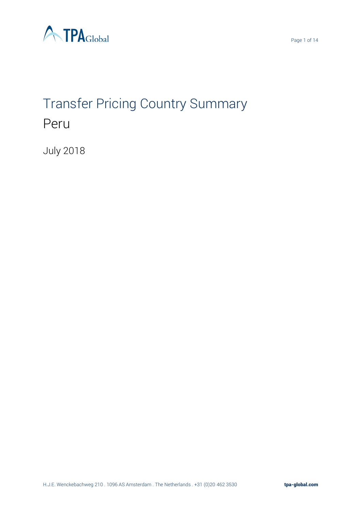

# Transfer Pricing Country Summary Peru

July 2018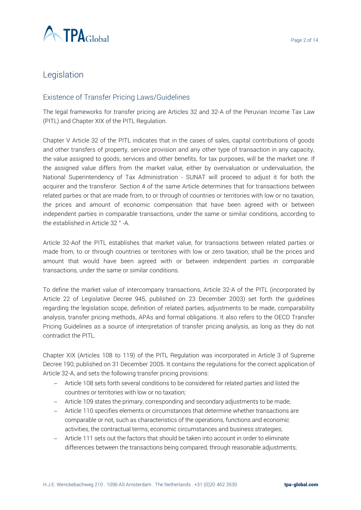

# Legislation

# Existence of Transfer Pricing Laws/Guidelines

The legal frameworks for transfer pricing are Articles 32 and 32-A of the Peruvian Income Tax Law (PITL) and Chapter XIX of the PITL Regulation.

Chapter V Article 32 of the PITL indicates that in the cases of sales, capital contributions of goods and other transfers of property, service provision and any other type of transaction in any capacity, the value assigned to goods, services and other benefits, for tax purposes, will be the market one. If the assigned value differs from the market value, either by overvaluation or undervaluation, the National Superintendency of Tax Administration - SUNAT will proceed to adjust it for both the acquirer and the transferor. Section 4 of the same Article determines that for transactions between related parties or that are made from, to or through of countries or territories with low or no taxation, the prices and amount of economic compensation that have been agreed with or between independent parties in comparable transactions, under the same or similar conditions, according to the established in Article 32 ° -A.

Article 32-Aof the PITL establishes that market value, for transactions between related parties or made from, to or through countries or territories with low or zero taxation, shall be the prices and amount that would have been agreed with or between independent parties in comparable transactions, under the same or similar conditions.

To define the market value of intercompany transactions, Article 32-A of the PITL (incorporated by Article 22 of Legislative Decree 945, published on 23 December 2003) set forth the guidelines regarding the legislation scope, definition of related parties, adjustments to be made, comparability analysis, transfer pricing methods, APAs and formal obligations. It also refers to the OECD Transfer Pricing Guidelines as a source of interpretation of transfer pricing analysis, as long as they do not contradict the PITL.

Chapter XIX (Articles 108 to 119) of the PITL Regulation was incorporated in Article 3 of Supreme Decree 190, published on 31 December 2005. It contains the regulations for the correct application of Article 32-A, and sets the following transfer pricing provisions:

- − Article 108 sets forth several conditions to be considered for related parties and listed the countries or territories with low or no taxation;
- − Article 109 states the primary, corresponding and secondary adjustments to be made;
- − Article 110 specifies elements or circumstances that determine whether transactions are comparable or not, such as characteristics of the operations, functions and economic activities, the contractual terms, economic circumstances and business strategies;
- − Article 111 sets out the factors that should be taken into account in order to eliminate differences between the transactions being compared, through reasonable adjustments;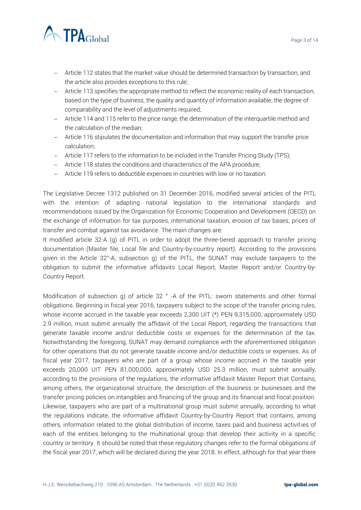



- − Article 112 states that the market value should be determined transaction by transaction, and the article also provides exceptions to this rule;
- − Article 113 specifies the appropriate method to reflect the economic reality of each transaction, based on the type of business, the quality and quantity of information available, the degree of comparability and the level of adjustments required;
- − Article 114 and 115 refer to the price range, the determination of the interquartile method and the calculation of the median;
- − Article 116 stipulates the documentation and information that may support the transfer price calculation;
- − Article 117 refers to the information to be included in the Transfer Pricing Study (TPS);
- − Article 118 states the conditions and characteristics of the APA procedure;
- − Article 119 refers to deductible expenses in countries with low or no taxation.

The Legislative Decree 1312 published on 31 December 2016, modified several articles of the PITL with the intention of adapting national legislation to the international standards and recommendations issued by the Organization for Economic Cooperation and Development (OECD) on the exchange of information for tax purposes, international taxation, erosion of tax bases, prices of transfer and combat against tax avoidance. The main changes are:

It modified article 32-A (g) of PITL in order to adopt the three-tiered approach to transfer pricing documentation (Master file, Local file and Country-by-country report). According to the provisions given in the Article 32°-A, subsection g) of the PITL, the SUNAT may exclude taxpayers to the obligation to submit the informative affidavits Local Report, Master Report and/or Country-by-Country Report.

Modification of subsection g) of article 32 ° -A of the PITL: sworn statements and other formal obligations. Beginning in fiscal year 2016, taxpayers subject to the scope of the transfer pricing rules, whose income accrued in the taxable year exceeds 2,300 UIT (\*) PEN 9,315,000, approximately USD 2.9 million, must submit annually the affidavit of the Local Report, regarding the transactions that generate taxable income and/or deductible costs or expenses for the determination of the tax. Notwithstanding the foregoing, SUNAT may demand compliance with the aforementioned obligation for other operations that do not generate taxable income and/or deductible costs or expenses. As of fiscal year 2017, taxpayers who are part of a group whose income accrued in the taxable year exceeds 20,000 UIT PEN 81,000,000, approximately USD 25.3 million, must submit annually, according to the provisions of the regulations, the informative affidavit Master Report that Contains, among others, the organizational structure, the description of the business or businesses and the transfer pricing policies on intangibles and financing of the group and its financial and fiscal position. Likewise, taxpayers who are part of a multinational group must submit annually, according to what the regulations indicate, the informative affidavit Country-by-Country Report that contains, among others, information related to the global distribution of income, taxes paid and business activities of each of the entities belonging to the multinational group that develop their activity in a specific country or territory. It should be noted that these regulatory changes refer to the formal obligations of the fiscal year 2017, which will be declared during the year 2018. In effect, although for that year there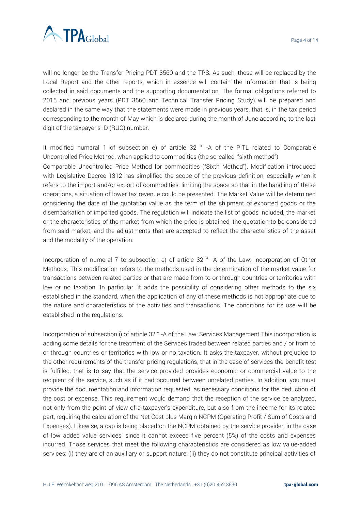

will no longer be the Transfer Pricing PDT 3560 and the TPS. As such, these will be replaced by the Local Report and the other reports, which in essence will contain the information that is being collected in said documents and the supporting documentation. The formal obligations referred to 2015 and previous years (PDT 3560 and Technical Transfer Pricing Study) will be prepared and declared in the same way that the statements were made in previous years, that is, in the tax period corresponding to the month of May which is declared during the month of June according to the last digit of the taxpayer's ID (RUC) number.

It modified numeral 1 of subsection e) of article 32 ° -A of the PITL related to Comparable Uncontrolled Price Method, when applied to commodities (the so-called: "sixth method") Comparable Uncontrolled Price Method for commodities ("Sixth Method"). Modification introduced with Legislative Decree 1312 has simplified the scope of the previous definition, especially when it refers to the import and/or export of commodities, limiting the space so that in the handling of these operations, a situation of lower tax revenue could be presented. The Market Value will be determined considering the date of the quotation value as the term of the shipment of exported goods or the disembarkation of imported goods. The regulation will indicate the list of goods included, the market or the characteristics of the market from which the price is obtained, the quotation to be considered from said market, and the adjustments that are accepted to reflect the characteristics of the asset and the modality of the operation.

Incorporation of numeral 7 to subsection e) of article 32 ° -A of the Law: Incorporation of Other Methods. This modification refers to the methods used in the determination of the market value for transactions between related parties or that are made from to or through countries or territories with low or no taxation. In particular, it adds the possibility of considering other methods to the six established in the standard, when the application of any of these methods is not appropriate due to the nature and characteristics of the activities and transactions. The conditions for its use will be established in the regulations.

Incorporation of subsection i) of article 32 ° -A of the Law: Services Management This incorporation is adding some details for the treatment of the Services traded between related parties and / or from to or through countries or territories with low or no taxation. It asks the taxpayer, without prejudice to the other requirements of the transfer pricing regulations, that in the case of services the benefit test is fulfilled, that is to say that the service provided provides economic or commercial value to the recipient of the service, such as if it had occurred between unrelated parties. In addition, you must provide the documentation and information requested, as necessary conditions for the deduction of the cost or expense. This requirement would demand that the reception of the service be analyzed, not only from the point of view of a taxpayer's expenditure, but also from the income for its related part, requiring the calculation of the Net Cost plus Margin NCPM (Operating Profit / Sum of Costs and Expenses). Likewise, a cap is being placed on the NCPM obtained by the service provider, in the case of low added value services, since it cannot exceed five percent (5%) of the costs and expenses incurred. Those services that meet the following characteristics are considered as low value-added services: (i) they are of an auxiliary or support nature; (ii) they do not constitute principal activities of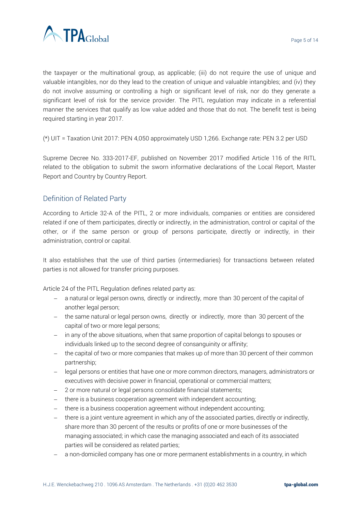

the taxpayer or the multinational group, as applicable; (iii) do not require the use of unique and valuable intangibles, nor do they lead to the creation of unique and valuable intangibles; and (iv) they do not involve assuming or controlling a high or significant level of risk, nor do they generate a significant level of risk for the service provider. The PITL regulation may indicate in a referential manner the services that qualify as low value added and those that do not. The benefit test is being required starting in year 2017.

(\*) UIT = Taxation Unit 2017: PEN 4,050 approximately USD 1,266. Exchange rate: PEN 3.2 per USD

Supreme Decree No. 333-2017-EF, published on November 2017 modified Article 116 of the RITL related to the obligation to submit the sworn informative declarations of the Local Report, Master Report and Country by Country Report.

# Definition of Related Party

According to Article 32-A of the PITL, 2 or more individuals, companies or entities are considered related if one of them participates, directly or indirectly, in the administration, control or capital of the other, or if the same person or group of persons participate, directly or indirectly, in their administration, control or capital.

It also establishes that the use of third parties (intermediaries) for transactions between related parties is not allowed for transfer pricing purposes.

Article 24 of the PITL Regulation defines related party as:

- − a natural or legal person owns, directly or indirectly, more than 30 percent of the capital of another legal person;
- − the same natural or legal person owns, directly or indirectly, more than 30 percent of the capital of two or more legal persons;
- − in any of the above situations, when that same proportion of capital belongs to spouses or individuals linked up to the second degree of consanguinity or affinity;
- − the capital of two or more companies that makes up of more than 30 percent of their common partnership;
- − legal persons or entities that have one or more common directors, managers, administrators or executives with decisive power in financial, operational or commercial matters;
- − 2 or more natural or legal persons consolidate financial statements;
- − there is a business cooperation agreement with independent accounting;
- − there is a business cooperation agreement without independent accounting;
- − there is a joint venture agreement in which any of the associated parties, directly or indirectly, share more than 30 percent of the results or profits of one or more businesses of the managing associated; in which case the managing associated and each of its associated parties will be considered as related parties;
- − a non-domiciled company has one or more permanent establishments in a country, in which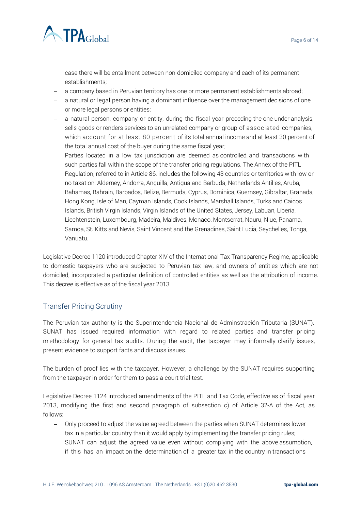

case there will be entailment between non-domiciled company and each of its permanent establishments;

- − a company based in Peruvian territory has one or more permanent establishments abroad;
- − a natural or legal person having a dominant influence over the management decisions of one or more legal persons or entities;
- − a natural person, company or entity, during the fiscal year preceding the one under analysis, sells goods or renders services to an unrelated company or group of associated companies, which account for at least 80 percent of its total annual income and at least 30 percent of the total annual cost of the buyer during the same fiscal year;
- − Parties located in a low tax jurisdiction are deemed as controlled, and transactions with such parties fall within the scope of the transfer pricing regulations. The Annex of the PITL Regulation, referred to in Article 86, includes the following 43 countries or territories with low or no taxation: Alderney, Andorra, Anguilla, Antigua and Barbuda, Netherlands Antilles, Aruba, Bahamas, Bahrain, Barbados, Belize, Bermuda, Cyprus, Dominica, Guernsey, Gibraltar, Granada, Hong Kong, Isle of Man, Cayman Islands, Cook Islands, Marshall Islands, Turks and Caicos Islands, British Virgin Islands, Virgin Islands of the United States, Jersey, Labuan, Liberia, Liechtenstein, Luxembourg, Madeira, Maldives, Monaco, Montserrat, Nauru, Niue, Panama, Samoa, St. Kitts and Nevis, Saint Vincent and the Grenadines, Saint Lucia, Seychelles, Tonga, Vanuatu.

Legislative Decree 1120 introduced Chapter XIV of the International Tax Transparency Regime, applicable to domestic taxpayers who are subjected to Peruvian tax law, and owners of entities which are not domiciled, incorporated a particular definition of controlled entities as well as the attribution of income. This decree is effective as of the fiscal year 2013.

# Transfer Pricing Scrutiny

The Peruvian tax authority is the Superintendencia Nacional de Adminstración Tributaria (SUNAT). SUNAT has issued required information with regard to related parties and transfer pricing m ethodology for general tax audits. During the audit, the taxpayer may informally clarify issues, present evidence to support facts and discuss issues.

The burden of proof lies with the taxpayer. However, a challenge by the SUNAT requires supporting from the taxpayer in order for them to pass a court trial test.

Legislative Decree 1124 introduced amendments of the PITL and Tax Code, effective as of fiscal year 2013, modifying the first and second paragraph of subsection c) of Article 32-A of the Act, as follows:

- − Only proceed to adjust the value agreed between the parties when SUNAT determines lower tax in a particular country than it would apply by implementing the transfer pricing rules;
- − SUNAT can adjust the agreed value even without complying with the above assumption, if this has an impact on the determination of a greater tax in the country in transactions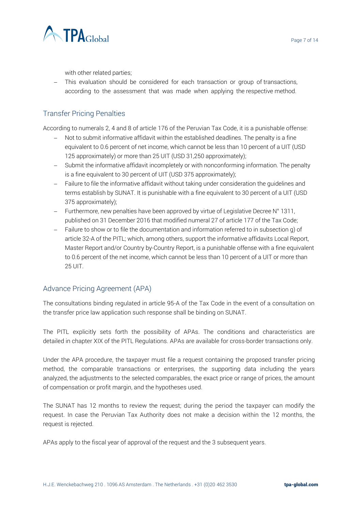



with other related parties;

− This evaluation should be considered for each transaction or group of transactions, according to the assessment that was made when applying the respective method.

# Transfer Pricing Penalties

According to numerals 2, 4 and 8 of article 176 of the Peruvian Tax Code, it is a punishable offense:

- − Not to submit informative affidavit within the established deadlines. The penalty is a fine equivalent to 0.6 percent of net income, which cannot be less than 10 percent of a UIT (USD 125 approximately) or more than 25 UIT (USD 31,250 approximately);
- − Submit the informative affidavit incompletely or with nonconforming information. The penalty is a fine equivalent to 30 percent of UIT (USD 375 approximately);
- − Failure to file the informative affidavit without taking under consideration the guidelines and terms establish by SUNAT. It is punishable with a fine equivalent to 30 percent of a UIT (USD 375 approximately);
- − Furthermore, new penalties have been approved by virtue of Legislative Decree N° 1311, published on 31 December 2016 that modified numeral 27 of article 177 of the Tax Code;
- − Failure to show or to file the documentation and information referred to in subsection g) of article 32-A of the PITL; which, among others, support the informative affidavits Local Report, Master Report and/or Country by-Country Report, is a punishable offense with a fine equivalent to 0.6 percent of the net income, which cannot be less than 10 percent of a UIT or more than 25 UIT.

# Advance Pricing Agreement (APA)

The consultations binding regulated in article 95-A of the Tax Code in the event of a consultation on the transfer price law application such response shall be binding on SUNAT.

The PITL explicitly sets forth the possibility of APAs. The conditions and characteristics are detailed in chapter XIX of the PITL Regulations. APAs are available for cross-border transactions only.

Under the APA procedure, the taxpayer must file a request containing the proposed transfer pricing method, the comparable transactions or enterprises, the supporting data including the years analyzed, the adjustments to the selected comparables, the exact price or range of prices, the amount of compensation or profit margin, and the hypotheses used.

The SUNAT has 12 months to review the request; during the period the taxpayer can modify the request. In case the Peruvian Tax Authority does not make a decision within the 12 months, the request is rejected.

APAs apply to the fiscal year of approval of the request and the 3 subsequent years.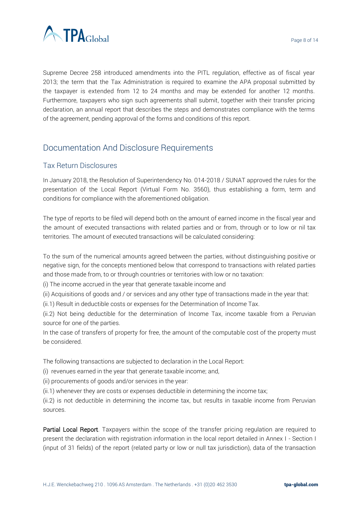

Supreme Decree 258 introduced amendments into the PITL regulation, effective as of fiscal year 2013; the term that the Tax Administration is required to examine the APA proposal submitted by the taxpayer is extended from 12 to 24 months and may be extended for another 12 months. Furthermore, taxpayers who sign such agreements shall submit, together with their transfer pricing declaration, an annual report that describes the steps and demonstrates compliance with the terms of the agreement, pending approval of the forms and conditions of this report.

# Documentation And Disclosure Requirements

# Tax Return Disclosures

In January 2018, the Resolution of Superintendency No. 014-2018 / SUNAT approved the rules for the presentation of the Local Report (Virtual Form No. 3560), thus establishing a form, term and conditions for compliance with the aforementioned obligation.

The type of reports to be filed will depend both on the amount of earned income in the fiscal year and the amount of executed transactions with related parties and or from, through or to low or nil tax territories. The amount of executed transactions will be calculated considering:

To the sum of the numerical amounts agreed between the parties, without distinguishing positive or negative sign, for the concepts mentioned below that correspond to transactions with related parties and those made from, to or through countries or territories with low or no taxation:

(i) The income accrued in the year that generate taxable income and

(ii) Acquisitions of goods and / or services and any other type of transactions made in the year that:

(ii.1) Result in deductible costs or expenses for the Determination of Income Tax.

(ii.2) Not being deductible for the determination of Income Tax, income taxable from a Peruvian source for one of the parties.

In the case of transfers of property for free, the amount of the computable cost of the property must be considered.

The following transactions are subjected to declaration in the Local Report:

(i) revenues earned in the year that generate taxable income; and,

(ii) procurements of goods and/or services in the year:

(ii.1) whenever they are costs or expenses deductible in determining the income tax;

(ii.2) is not deductible in determining the income tax, but results in taxable income from Peruvian sources.

Partial Local Report. Taxpayers within the scope of the transfer pricing regulation are required to present the declaration with registration information in the local report detailed in Annex I - Section I (input of 31 fields) of the report (related party or low or null tax jurisdiction), data of the transaction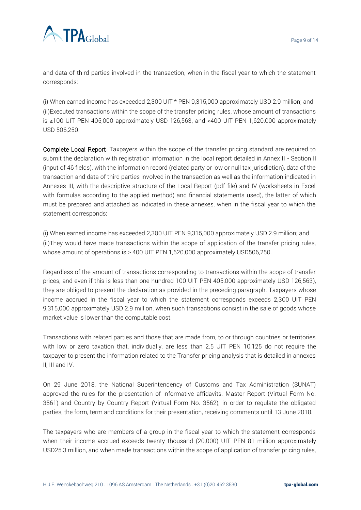

and data of third parties involved in the transaction, when in the fiscal year to which the statement corresponds:

(i) When earned income has exceeded 2,300 UIT  $*$  PEN 9,315,000 approximately USD 2.9 million; and (ii)Executed transactions within the scope of the transfer pricing rules, whose amount of transactions is ≥100 UIT PEN 405,000 approximately USD 126,563, and <400 UIT PEN 1,620,000 approximately USD 506,250.

Complete Local Report. Taxpayers within the scope of the transfer pricing standard are required to submit the declaration with registration information in the local report detailed in Annex II - Section II (input of 46 fields), with the information record (related party or low or null tax jurisdiction), data of the transaction and data of third parties involved in the transaction as well as the information indicated in Annexes III, with the descriptive structure of the Local Report (pdf file) and IV (worksheets in Excel with formulas according to the applied method) and financial statements used), the latter of which must be prepared and attached as indicated in these annexes, when in the fiscal year to which the statement corresponds:

(i) When earned income has exceeded 2,300 UIT PEN 9,315,000 approximately USD 2.9 million; and (ii)They would have made transactions within the scope of application of the transfer pricing rules, whose amount of operations is  $\geq 400$  UIT PEN 1,620,000 approximately USD506,250.

Regardless of the amount of transactions corresponding to transactions within the scope of transfer prices, and even if this is less than one hundred 100 UIT PEN 405,000 approximately USD 126,563), they are obliged to present the declaration as provided in the preceding paragraph. Taxpayers whose income accrued in the fiscal year to which the statement corresponds exceeds 2,300 UIT PEN 9,315,000 approximately USD 2.9 million, when such transactions consist in the sale of goods whose market value is lower than the computable cost.

Transactions with related parties and those that are made from, to or through countries or territories with low or zero taxation that, individually, are less than 2.5 UIT PEN 10,125 do not require the taxpayer to present the information related to the Transfer pricing analysis that is detailed in annexes II, III and IV.

On 29 June 2018, the National Superintendency of Customs and Tax Administration (SUNAT) approved the rules for the presentation of informative affidavits. Master Report (Virtual Form No. 3561) and Country by Country Report (Virtual Form No. 3562), in order to regulate the obligated parties, the form, term and conditions for their presentation, receiving comments until 13 June 2018.

The taxpayers who are members of a group in the fiscal year to which the statement corresponds when their income accrued exceeds twenty thousand (20,000) UIT PEN 81 million approximately USD25.3 million, and when made transactions within the scope of application of transfer pricing rules,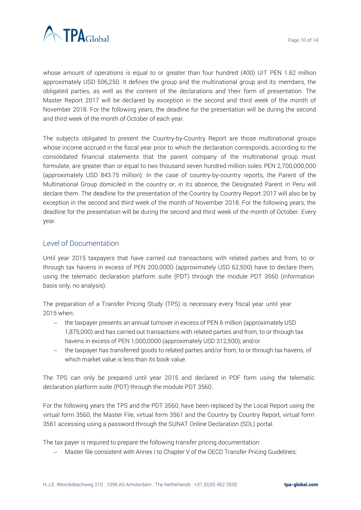

whose amount of operations is equal to or greater than four hundred (400) UIT PEN 1.62 million approximately USD 506,250. It defines the group and the multinational group and its members, the obligated parties, as well as the content of the declarations and their form of presentation. The Master Report 2017 will be declared by exception in the second and third week of the month of November 2018. For the following years, the deadline for the presentation will be during the second and third week of the month of October of each year.

The subjects obligated to present the Country-by-Country Report are those multinational groups whose income accrued in the fiscal year prior to which the declaration corresponds, according to the consolidated financial statements that the parent company of the multinational group must formulate, are greater than or equal to two thousand seven hundred million soles PEN 2,700,000,000 (approximately USD 843.75 million). In the case of country-by-country reports, the Parent of the Multinational Group domiciled in the country or, in its absence, the Designated Parent in Peru will declare them. The deadline for the presentation of the Country by Country Report 2017 will also be by exception in the second and third week of the month of November 2018. For the following years, the deadline for the presentation will be during the second and third week of the month of October. Every year.

## Level of Documentation

Until year 2015 taxpayers that have carried out transactions with related parties and from, to or through tax havens in excess of PEN 200,0000 (approximately USD 62,500) have to declare them, using the telematic declaration platform suite (PDT) through the module PDT 3560 (information basis only, no analysis).

The preparation of a Transfer Pricing Study (TPS) is necessary every fiscal year until year 2015 when:

- − the taxpayer presents an annual turnover in excess of PEN 6 million (approximately USD 1,875,000) and has carried out transactions with related parties and from, to or through tax havens in excess of PEN 1,000,0000 (approximately USD 312,500); and/or
- − the taxpayer has transferred goods to related parties and/or from, to or through tax havens, of which market value is less than its book value.

The TPS can only be prepared until year 2015 and declared in PDF form using the telematic declaration platform suite (PDT) through the module PDT 3560.

For the following years the TPS and the PDT 3560, have been replaced by the Local Report using the virtual form 3560, the Master File, virtual form 3561 and the Country by Country Report, virtual form 3561 accessing using a password through the SUNAT Online Declaration (SOL) portal.

The tax payer is required to prepare the following transfer pricing documentation:

− Master file consistent with Annex I to Chapter V of the OECD Transfer Pricing Guidelines;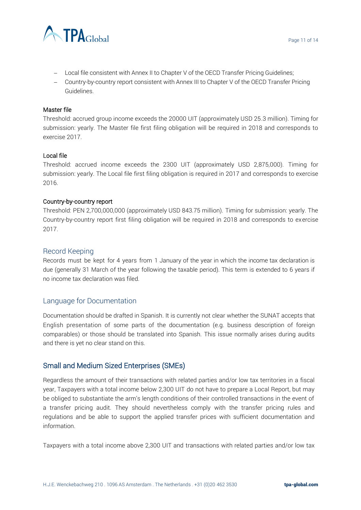

- − Local file consistent with Annex II to Chapter V of the OECD Transfer Pricing Guidelines;
- − Country-by-country report consistent with Annex III to Chapter V of the OECD Transfer Pricing Guidelines.

#### Master file

Threshold: accrued group income exceeds the 20000 UIT (approximately USD 25.3 million). Timing for submission: yearly. The Master file first filing obligation will be required in 2018 and corresponds to exercise 2017.

#### Local file

Threshold: accrued income exceeds the 2300 UIT (approximately USD 2,875,000). Timing for submission: yearly. The Local file first filing obligation is required in 2017 and corresponds to exercise 2016.

#### Country-by-country report

Threshold: PEN 2,700,000,000 (approximately USD 843.75 million). Timing for submission: yearly. The Country-by-country report first filing obligation will be required in 2018 and corresponds to exercise 2017.

## Record Keeping

Records must be kept for 4 years from 1 January of the year in which the income tax declaration is due (generally 31 March of the year following the taxable period). This term is extended to 6 years if no income tax declaration was filed.

# Language for Documentation

Documentation should be drafted in Spanish. It is currently not clear whether the SUNAT accepts that English presentation of some parts of the documentation (e.g. business description of foreign comparables) or those should be translated into Spanish. This issue normally arises during audits and there is yet no clear stand on this.

# Small and Medium Sized Enterprises (SMEs)

Regardless the amount of their transactions with related parties and/or low tax territories in a fiscal year, Taxpayers with a total income below 2,300 UIT do not have to prepare a Local Report, but may be obliged to substantiate the arm's length conditions of their controlled transactions in the event of a transfer pricing audit. They should nevertheless comply with the transfer pricing rules and regulations and be able to support the applied transfer prices with sufficient documentation and information.

Taxpayers with a total income above 2,300 UIT and transactions with related parties and/or low tax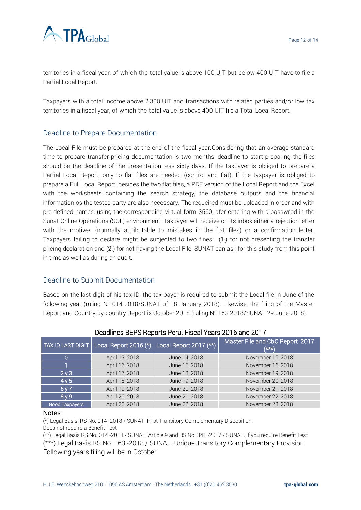

territories in a fiscal year, of which the total value is above 100 UIT but below 400 UIT have to file a Partial Local Report.

Taxpayers with a total income above 2,300 UIT and transactions with related parties and/or low tax territories in a fiscal year, of which the total value is above 400 UIT file a Total Local Report.

# Deadline to Prepare Documentation

The Local File must be prepared at the end of the fiscal year.Considering that an average standard time to prepare transfer pricing documentation is two months, deadline to start preparing the files should be the deadline of the presentation less sixty days. If the taxpayer is obliged to prepare a Partial Local Report, only to flat files are needed (control and flat). If the taxpayer is obliged to prepare a Full Local Report, besides the two flat files, a PDF version of the Local Report and the Excel with the worksheets containing the search strategy, the database outputs and the financial information os the tested party are also necessary. The requeired must be uploaded in order and with pre-defined names, using the corresponding virtual form 3560, afer entering with a passwrod in the Sunat Online Operations (SOL) environment. Taxpáyer will receive on its inbox either a rejection letter with the motives (normally attributable to mistakes in the flat files) or a confirmation letter. Taxpayers failing to declare might be subjected to two fines: (1.) for not presenting the transfer pricing declaration and (2.) for not having the Local File. SUNAT can ask for this study from this point in time as well as during an audit.

# Deadline to Submit Documentation

Based on the last digit of his tax ID, the tax payer is required to submit the Local file in June of the following year (ruling N° 014-2018/SUNAT of 18 January 2018). Likewise, the filing of the Master Report and Country-by-country Report is October 2018 (ruling Nº 163-2018/SUNAT 29 June 2018).

| <b>TAX ID LAST DIGIT</b> | Local Report 2016 (*) | Local Report 2017 (**) | Master File and CbC Report 2017<br>$(\star\star\star)$ |
|--------------------------|-----------------------|------------------------|--------------------------------------------------------|
| 0                        | April 13, 2018        | June 14, 2018          | November 15, 2018                                      |
|                          | April 16, 2018        | June 15, 2018          | November 16, 2018                                      |
| 2 <sub>V</sub> 3         | April 17, 2018        | June 18, 2018          | November 19, 2018                                      |
| 4y5                      | April 18, 2018        | June 19, 2018          | November 20, 2018                                      |
| 6y7                      | April 19, 2018        | June 20, 2018          | November 21, 2018                                      |
| 8y9                      | April 20, 2018        | June 21, 2018          | November 22, 2018                                      |
| Good Taxpayers           | April 23, 2018        | June 22, 2018          | November 23, 2018                                      |

#### Deadlines BEPS Reports Peru. Fiscal Years 2016 and 2017

#### Notes

(\*) Legal Basis: RS No. 014 -2018 / SUNAT. First Transitory Complementary Disposition.

Does not require a Benefit Test

(\*\*) Legal Basis RS No. 014 -2018 / SUNAT. Article 9 and RS No. 341 -2017 / SUNAT. If you require Benefit Test (\*\*\*) Legal Basis RS No. 163 -2018 / SUNAT. Unique Transitory Complementary Provision. Following years filing will be in October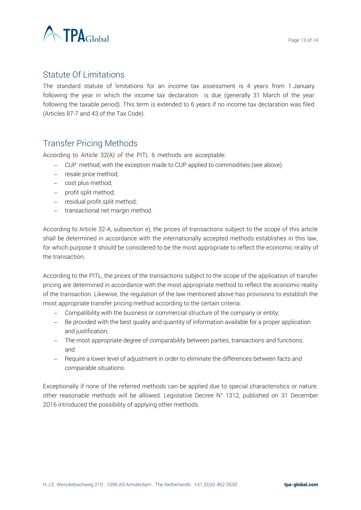

# Statute Of Limitations

The standard statute of limitations for an income tax assessment is 4 years from 1 January following the year in which the income tax declaration is due (generally 31 March of the year following the taxable period). This term is extended to 6 years if no income tax declaration was filed (Articles 87-7 and 43 of the Tax Code).

# Transfer Pricing Methods

According to Article 32(A) of the PITL 6 methods are acceptable:

- − CUP method; with the exception made to CUP applied to commodities (see above).
- − resale price method;
- − cost plus method;
- − profit split method;
- − residual profit split method;
- − transactional net margin method.

According to Article 32-A, subsection e), the prices of transactions subject to the scope of this article shall be determined in accordance with the internationally accepted methods establishes in this law, for which purpose it should be considered to be the most appropriate to reflect the economic reality of the transaction.

According to the PITL, the prices of the transactions subject to the scope of the application of transfer pricing are determined in accordance with the most appropriate method to reflect the economic reality of the transaction. Likewise, the regulation of the law mentioned above has provisions to establish the most appropriate transfer pricing method according to the certain criteria:

- − Compatibility with the business or commercial structure of the company or entity;
- − Be provided with the best quality and quantity of information available for a proper application and justification;
- − The most appropriate degree of comparability between parties, transactions and functions; and
- − Require a lower level of adjustment in order to eliminate the differences between facts and comparable situations.

Exceptionally if none of the referred methods can be applied due to special characteristics or nature, other reasonable methods will be allowed. Legislative Decree N° 1312, published on 31 December 2016 introduced the possibility of applying other methods.